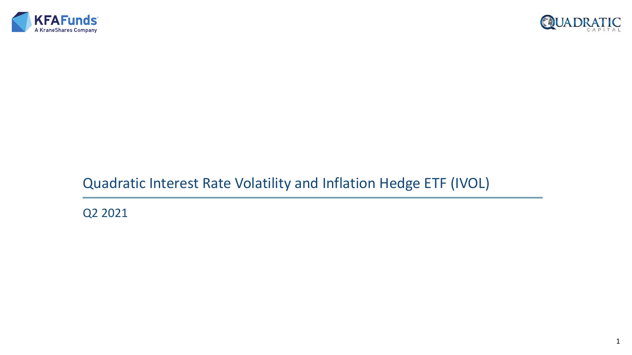



# Quadratic Interest Rate Volatility and Inflation Hedge ETF (IVOL)

Q2 2021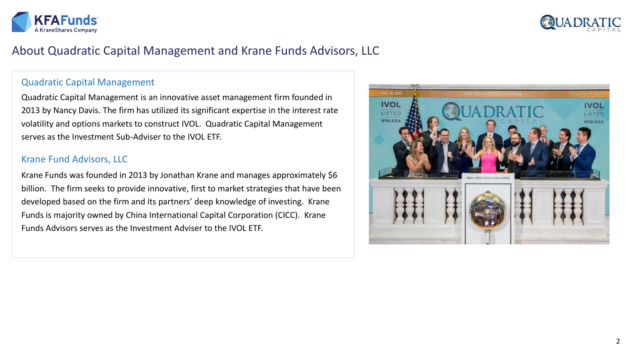



# About Quadratic Capital Management and Krane Funds Advisors, LLC

### Quadratic Capital Management

Quadratic Capital Management is an innovative asset management firm founded in 2013 by Nancy Davis. The firm has utilized its significant expertise in the interest rate volatility and options markets to construct IVOL. Quadratic Capital Management serves as the Investment Sub-Adviser to the IVOL ETF.

### Krane Fund Advisors, LLC

Krane Funds was founded in 2013 by Jonathan Krane and manages approximately \$6 billion. The firm seeks to provide innovative, first to market strategies that have been developed based on the firm and its partners' deep knowledge of investing. Krane Funds is majority owned by China International Capital Corporation (CICC). Krane Funds Advisors serves as the Investment Adviser to the IVOL ETF.

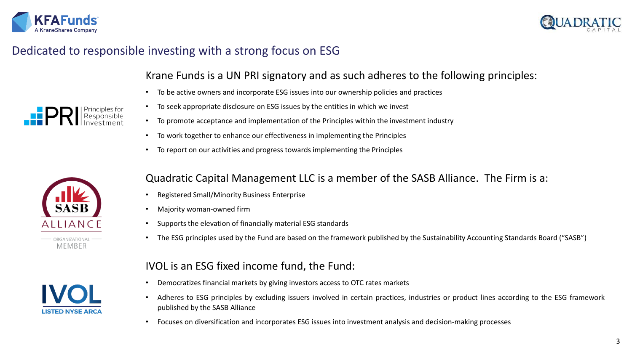



# Dedicated to responsible investing with a strong focus on ESG

## Krane Funds is a UN PRI signatory and as such adheres to the following principles:

- To be active owners and incorporate ESG issues into our ownership policies and practices
- To seek appropriate disclosure on ESG issues by the entities in which we invest
- To promote acceptance and implementation of the Principles within the investment industry
- To work together to enhance our effectiveness in implementing the Principles
- To report on our activities and progress towards implementing the Principles



MEMBER



## Quadratic Capital Management LLC is a member of the SASB Alliance. The Firm is a:

- Registered Small/Minority Business Enterprise
- Majority woman-owned firm
- Supports the elevation of financially material ESG standards
- The ESG principles used by the Fund are based on the framework published by the Sustainability Accounting Standards Board ("SASB")

## IVOL is an ESG fixed income fund, the Fund:

- Democratizes financial markets by giving investors access to OTC rates markets
- Adheres to ESG principles by excluding issuers involved in certain practices, industries or product lines according to the ESG framework published by the SASB Alliance
- Focuses on diversification and incorporates ESG issues into investment analysis and decision-making processes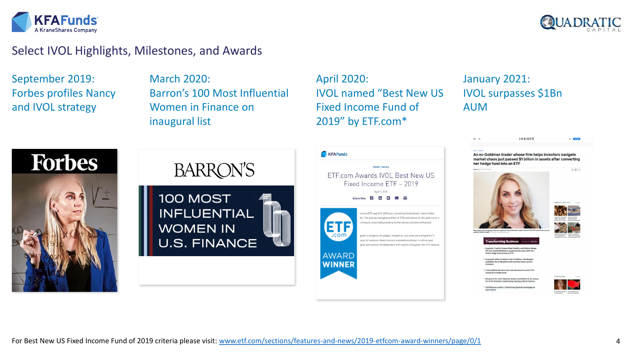



## Select IVOL Highlights, Milestones, and Awards

September 2019: Forbes profiles Nancy and IVOL strategy

March 2020: Barron's 100 Most Influential Women in Finance on inaugural list

April 2020: IVOL named "Best New US Fixed Income Fund of 2019" by ETF.com\*

## January 2021: IVOL surpasses \$1Bn AUM







An ex-Goldman trader whose firm helps investors navigate market chaos just passed \$1 billion in assets after converting her hedge fund into an ETF

**INSIDER** 



 $= -a$ 



 $\odot$   $\odot$ 

became an FTF

lts growth reflects investors' fear of inflation, including th<br>possibility that it will spike as the economy comes out of a

Visit Business Insider's Transforming B

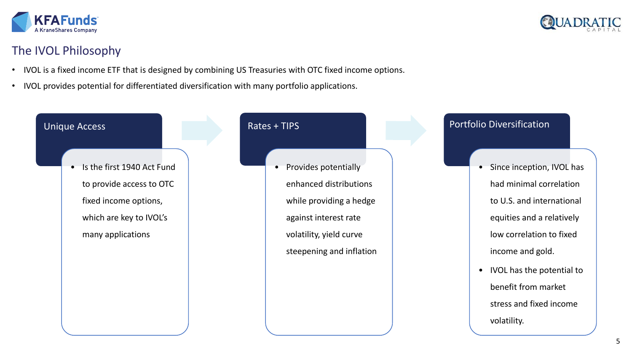



# The IVOL Philosophy

- IVOL is a fixed income ETF that is designed by combining US Treasuries with OTC fixed income options.
- IVOL provides potential for differentiated diversification with many portfolio applications.

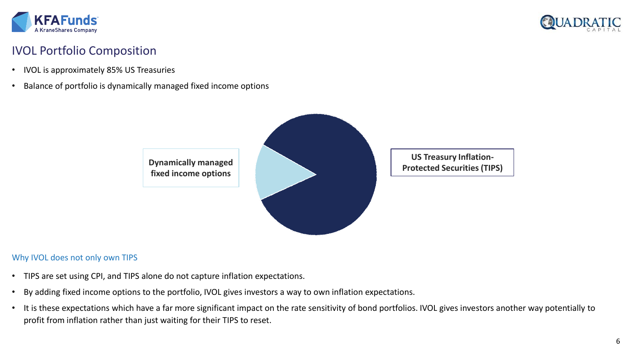



# IVOL Portfolio Composition

- IVOL is approximately 85% US Treasuries
- Balance of portfolio is dynamically managed fixed income options



### Why IVOL does not only own TIPS

- TIPS are set using CPI, and TIPS alone do not capture inflation expectations.
- By adding fixed income options to the portfolio, IVOL gives investors a way to own inflation expectations.
- It is these expectations which have a far more significant impact on the rate sensitivity of bond portfolios. IVOL gives investors another way potentially to profit from inflation rather than just waiting for their TIPS to reset.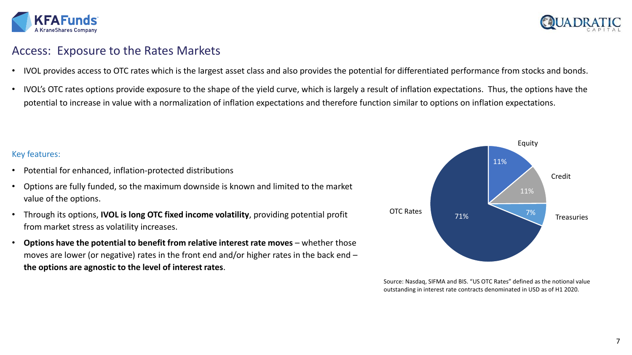



## Access: Exposure to the Rates Markets

- IVOL provides access to OTC rates which is the largest asset class and also provides the potential for differentiated performance from stocks and bonds.
- IVOL's OTC rates options provide exposure to the shape of the yield curve, which is largely a result of inflation expectations. Thus, the options have the potential to increase in value with a normalization of inflation expectations and therefore function similar to options on inflation expectations.

### Key features:

- Potential for enhanced, inflation-protected distributions
- Options are fully funded, so the maximum downside is known and limited to the market value of the options.
- Through its options, **IVOL is long OTC fixed income volatility**, providing potential profit from market stress as volatility increases.
- Options have the potential to benefit from relative interest rate moves whether those moves are lower (or negative) rates in the front end and/or higher rates in the back end – **the options are agnostic to the level of interest rates**.



Source: Nasdaq, SIFMA and BIS. "US OTC Rates" defined as the notional value outstanding in interest rate contracts denominated in USD as of H1 2020.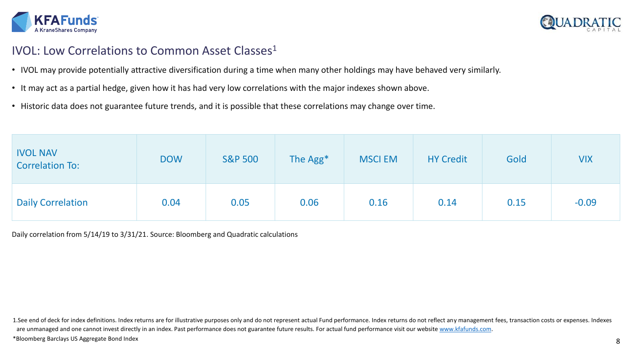



# IVOL: Low Correlations to Common Asset Classes<sup>1</sup>

- IVOL may provide potentially attractive diversification during a time when many other holdings may have behaved very similarly.
- It may act as a partial hedge, given how it has had very low correlations with the major indexes shown above.
- Historic data does not guarantee future trends, and it is possible that these correlations may change over time.

| <b>IVOL NAV</b><br><b>Correlation To:</b> | <b>DOW</b> | <b>S&amp;P 500</b> | The Agg <sup>*</sup> | <b>MSCI EM</b> | <b>HY Credit</b> | Gold | <b>VIX</b> |
|-------------------------------------------|------------|--------------------|----------------------|----------------|------------------|------|------------|
| <b>Daily Correlation</b>                  | 0.04       | 0.05               | 0.06                 | 0.16           | 0.14             | 0.15 | $-0.09$    |

Daily correlation from 5/14/19 to 3/31/21. Source: Bloomberg and Quadratic calculations

1.See end of deck for index definitions. Index returns are for illustrative purposes only and do not represent actual Fund performance. Index returns do not reflect any management fees, transaction costs or expenses. Index are unmanaged and one cannot invest directly in an index. Past performance does not guarantee future results. For actual fund performance visit our website [www.kfafunds.com](http://www.kfafunds.com/). \*Bloomberg Barclays US Aggregate Bond Index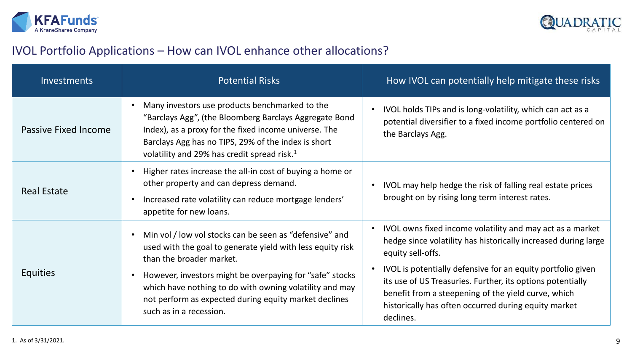



# IVOL Portfolio Applications – How can IVOL enhance other allocations?

| <b>Investments</b>          | <b>Potential Risks</b>                                                                                                                                                                                                                                                                                                                                       | How IVOL can potentially help mitigate these risks                                                                                                                                                                                                                                                                                                                                                        |  |  |
|-----------------------------|--------------------------------------------------------------------------------------------------------------------------------------------------------------------------------------------------------------------------------------------------------------------------------------------------------------------------------------------------------------|-----------------------------------------------------------------------------------------------------------------------------------------------------------------------------------------------------------------------------------------------------------------------------------------------------------------------------------------------------------------------------------------------------------|--|--|
| <b>Passive Fixed Income</b> | Many investors use products benchmarked to the<br>"Barclays Agg", (the Bloomberg Barclays Aggregate Bond<br>Index), as a proxy for the fixed income universe. The<br>Barclays Agg has no TIPS, 29% of the index is short<br>volatility and 29% has credit spread risk. <sup>1</sup>                                                                          | IVOL holds TIPs and is long-volatility, which can act as a<br>potential diversifier to a fixed income portfolio centered on<br>the Barclays Agg.                                                                                                                                                                                                                                                          |  |  |
| <b>Real Estate</b>          | Higher rates increase the all-in cost of buying a home or<br>other property and can depress demand.<br>Increased rate volatility can reduce mortgage lenders'<br>appetite for new loans.                                                                                                                                                                     | IVOL may help hedge the risk of falling real estate prices<br>brought on by rising long term interest rates.                                                                                                                                                                                                                                                                                              |  |  |
| <b>Equities</b>             | Min vol / low vol stocks can be seen as "defensive" and<br>used with the goal to generate yield with less equity risk<br>than the broader market.<br>However, investors might be overpaying for "safe" stocks<br>which have nothing to do with owning volatility and may<br>not perform as expected during equity market declines<br>such as in a recession. | IVOL owns fixed income volatility and may act as a market<br>hedge since volatility has historically increased during large<br>equity sell-offs.<br>IVOL is potentially defensive for an equity portfolio given<br>its use of US Treasuries. Further, its options potentially<br>benefit from a steepening of the yield curve, which<br>historically has often occurred during equity market<br>declines. |  |  |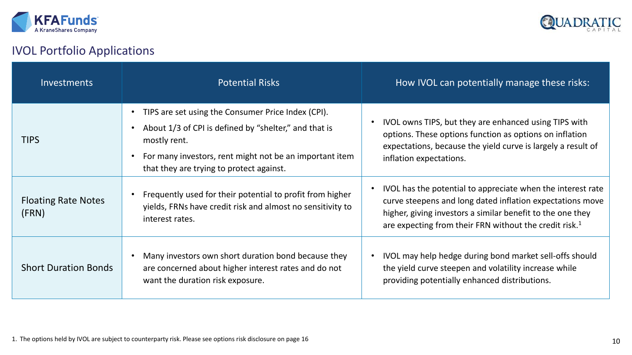



# IVOL Portfolio Applications

| <b>Investments</b>                  | <b>Potential Risks</b>                                                                                                                                                                                                             | How IVOL can potentially manage these risks:                                                                                                                                                                                                                 |
|-------------------------------------|------------------------------------------------------------------------------------------------------------------------------------------------------------------------------------------------------------------------------------|--------------------------------------------------------------------------------------------------------------------------------------------------------------------------------------------------------------------------------------------------------------|
| <b>TIPS</b>                         | TIPS are set using the Consumer Price Index (CPI).<br>About 1/3 of CPI is defined by "shelter," and that is<br>mostly rent.<br>For many investors, rent might not be an important item<br>that they are trying to protect against. | IVOL owns TIPS, but they are enhanced using TIPS with<br>options. These options function as options on inflation<br>expectations, because the yield curve is largely a result of<br>inflation expectations.                                                  |
| <b>Floating Rate Notes</b><br>(FRN) | Frequently used for their potential to profit from higher<br>yields, FRNs have credit risk and almost no sensitivity to<br>interest rates.                                                                                         | IVOL has the potential to appreciate when the interest rate<br>curve steepens and long dated inflation expectations move<br>higher, giving investors a similar benefit to the one they<br>are expecting from their FRN without the credit risk. <sup>1</sup> |
| <b>Short Duration Bonds</b>         | Many investors own short duration bond because they<br>are concerned about higher interest rates and do not<br>want the duration risk exposure.                                                                                    | IVOL may help hedge during bond market sell-offs should<br>the yield curve steepen and volatility increase while<br>providing potentially enhanced distributions.                                                                                            |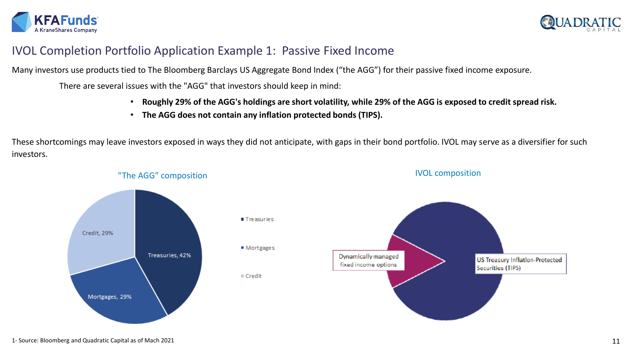



## IVOL Completion Portfolio Application Example 1: Passive Fixed Income

Many investors use products tied to The Bloomberg Barclays US Aggregate Bond Index ("the AGG") for their passive fixed income exposure.

There are several issues with the "AGG" that investors should keep in mind:

- **Roughly 29% of the AGG's holdings are short volatility, while 29% of the AGG is exposed to credit spread risk.**
- **The AGG does not contain any inflation protected bonds (TIPS).**

These shortcomings may leave investors exposed in ways they did not anticipate, with gaps in their bond portfolio. IVOL may serve as a diversifier for such investors.

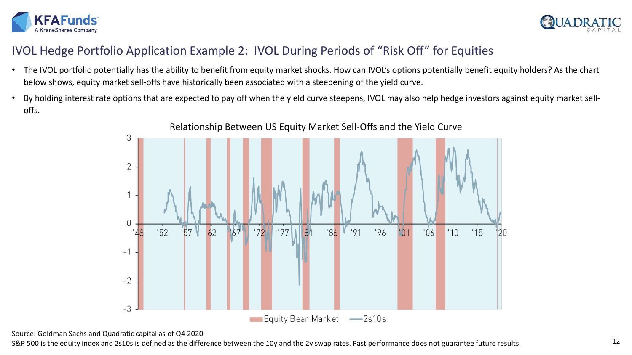



# IVOL Hedge Portfolio Application Example 2: IVOL During Periods of "Risk Off" for Equities

- The IVOL portfolio potentially has the ability to benefit from equity market shocks. How can IVOL's options potentially benefit equity holders? As the chart below shows, equity market sell-offs have historically been associated with a steepening of the yield curve.
- By holding interest rate options that are expected to pay off when the yield curve steepens, IVOL may also help hedge investors against equity market selloffs.



Source: Goldman Sachs and Quadratic capital as of Q4 2020

S&P 500 is the equity index and 2s10s is defined as the difference between the 10y and the 2y swap rates. Past performance does not guarantee future results.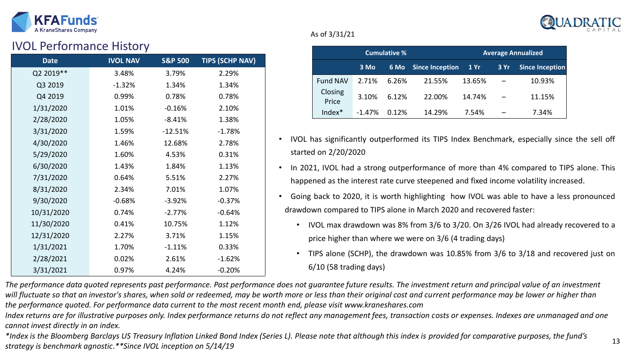



## IVOL Performance History

| <b>Date</b> | <b>IVOL NAV</b> | <b>S&amp;P 500</b> | <b>TIPS (SCHP NAV)</b> |
|-------------|-----------------|--------------------|------------------------|
| Q2 2019**   | 3.48%           | 3.79%              | 2.29%                  |
| Q3 2019     | $-1.32%$        | 1.34%              | 1.34%                  |
| Q4 2019     | 0.99%           | 0.78%              | 0.78%                  |
| 1/31/2020   | 1.01%           | $-0.16%$           | 2.10%                  |
| 2/28/2020   | 1.05%           | $-8.41%$           | 1.38%                  |
| 3/31/2020   | 1.59%           | $-12.51%$          | $-1.78%$               |
| 4/30/2020   | 1.46%           | 12.68%             | 2.78%                  |
| 5/29/2020   | 1.60%           | 4.53%              | 0.31%                  |
| 6/30/2020   | 1.43%           | 1.84%              | 1.13%                  |
| 7/31/2020   | 0.64%           | 5.51%              | 2.27%                  |
| 8/31/2020   | 2.34%           | 7.01%              | 1.07%                  |
| 9/30/2020   | $-0.68%$        | $-3.92%$           | $-0.37%$               |
| 10/31/2020  | 0.74%           | $-2.77%$           | $-0.64%$               |
| 11/30/2020  | 0.41%           | 10.75%             | 1.12%                  |
| 12/31/2020  | 2.27%           | 3.71%              | 1.15%                  |
| 1/31/2021   | 1.70%           | $-1.11%$           | 0.33%                  |
| 2/28/2021   | 0.02%           | 2.61%              | $-1.62%$               |
| 3/31/2021   | 0.97%           | 4.24%              | $-0.20%$               |

### As of 3/31/21

| <b>Cumulative %</b> |          |       |                        |        | <b>Average Annualized</b> |                        |
|---------------------|----------|-------|------------------------|--------|---------------------------|------------------------|
|                     | 3 Mo     | 6 Mo  | <b>Since Inception</b> | 1Yr    | 3 Yr                      | <b>Since Inception</b> |
| <b>Fund NAV</b>     | 2.71%    | 6.26% | 21.55%                 | 13.65% |                           | 10.93%                 |
| Closing<br>Price    | 3.10%    | 6.12% | 22.00%                 | 14.74% |                           | 11.15%                 |
| Index*              | $-1.47%$ | 0.12% | 14.29%                 | 7.54%  |                           | 7.34%                  |

- IVOL has significantly outperformed its TIPS Index Benchmark, especially since the sell off started on 2/20/2020
- In 2021, IVOL had a strong outperformance of more than 4% compared to TIPS alone. This happened as the interest rate curve steepened and fixed income volatility increased.
- Going back to 2020, it is worth highlighting how IVOL was able to have a less pronounced drawdown compared to TIPS alone in March 2020 and recovered faster:
	- IVOL max drawdown was 8% from 3/6 to 3/20. On 3/26 IVOL had already recovered to a price higher than where we were on 3/6 (4 trading days)
	- TIPS alone (SCHP), the drawdown was 10.85% from 3/6 to 3/18 and recovered just on 6/10 (58 trading days)

*The performance data quoted represents past performance. Past performance does not guarantee future results. The investment return and principal value of an investment*  will fluctuate so that an investor's shares, when sold or redeemed, may be worth more or less than their original cost and current performance may be lower or higher than *the performance quoted. For performance data current to the most recent month end, please visit www.kraneshares.com*

*Index returns are for illustrative purposes only. Index performance returns do not reflect any management fees, transaction costs or expenses. Indexes are unmanaged and one cannot invest directly in an index.*

*\*Index is the Bloomberg Barclays US Treasury Inflation Linked Bond Index (Series L). Please note that although this index is provided for comparative purposes, the fund's strategy is benchmark agnostic*.*\*\*Since IVOL inception on 5/14/19*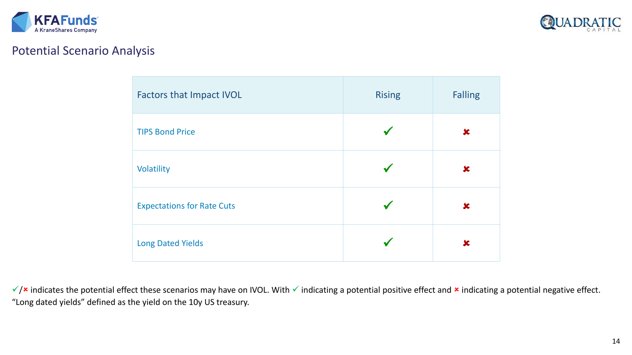



## Potential Scenario Analysis

| <b>Factors that Impact IVOL</b>   | <b>Rising</b> | <b>Falling</b> |
|-----------------------------------|---------------|----------------|
| <b>TIPS Bond Price</b>            |               | ×              |
| Volatility                        |               | X              |
| <b>Expectations for Rate Cuts</b> |               | $\mathbf x$    |
| <b>Long Dated Yields</b>          |               | x              |

√/ indicates the potential effect these scenarios may have on IVOL. With vindicating a potential positive effect and x indicating a potential negative effect. "Long dated yields" defined as the yield on the 10y US treasury.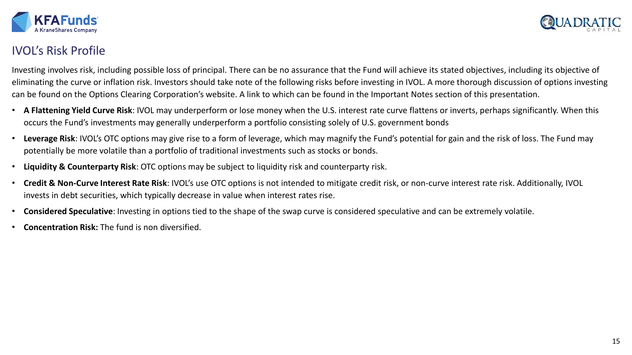



## IVOL's Risk Profile

Investing involves risk, including possible loss of principal. There can be no assurance that the Fund will achieve its stated objectives, including its objective of eliminating the curve or inflation risk. Investors should take note of the following risks before investing in IVOL. A more thorough discussion of options investing can be found on the Options Clearing Corporation's website. A link to which can be found in the Important Notes section of this presentation.

- **A Flattening Yield Curve Risk**: IVOL may underperform or lose money when the U.S. interest rate curve flattens or inverts, perhaps significantly. When this occurs the Fund's investments may generally underperform a portfolio consisting solely of U.S. government bonds
- **Leverage Risk**: IVOL's OTC options may give rise to a form of leverage, which may magnify the Fund's potential for gain and the risk of loss. The Fund may potentially be more volatile than a portfolio of traditional investments such as stocks or bonds.
- **Liquidity & Counterparty Risk**: OTC options may be subject to liquidity risk and counterparty risk.
- **Credit & Non-Curve Interest Rate Risk**: IVOL's use OTC options is not intended to mitigate credit risk, or non-curve interest rate risk. Additionally, IVOL invests in debt securities, which typically decrease in value when interest rates rise.
- **Considered Speculative**: Investing in options tied to the shape of the swap curve is considered speculative and can be extremely volatile.
- **Concentration Risk:** The fund is non diversified.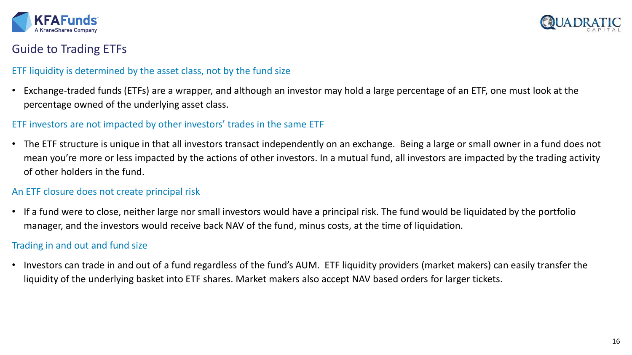



## Guide to Trading ETFs

### ETF liquidity is determined by the asset class, not by the fund size

• Exchange-traded funds (ETFs) are a wrapper, and although an investor may hold a large percentage of an ETF, one must look at the percentage owned of the underlying asset class.

### ETF investors are not impacted by other investors' trades in the same ETF

• The ETF structure is unique in that all investors transact independently on an exchange. Being a large or small owner in a fund does not mean you're more or less impacted by the actions of other investors. In a mutual fund, all investors are impacted by the trading activity of other holders in the fund.

### An ETF closure does not create principal risk

• If a fund were to close, neither large nor small investors would have a principal risk. The fund would be liquidated by the portfolio manager, and the investors would receive back NAV of the fund, minus costs, at the time of liquidation.

## Trading in and out and fund size

• Investors can trade in and out of a fund regardless of the fund's AUM. ETF liquidity providers (market makers) can easily transfer the liquidity of the underlying basket into ETF shares. Market makers also accept NAV based orders for larger tickets.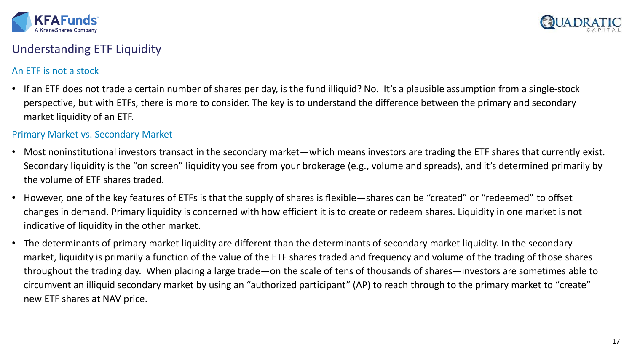



## Understanding ETF Liquidity

## An ETF is not a stock

• If an ETF does not trade a certain number of shares per day, is the fund illiquid? No. It's a plausible assumption from a single-stock perspective, but with ETFs, there is more to consider. The key is to understand the difference between the primary and secondary market liquidity of an ETF.

### Primary Market vs. Secondary Market

- Most noninstitutional investors transact in the secondary market—which means investors are trading the ETF shares that currently exist. Secondary liquidity is the "on screen" liquidity you see from your brokerage (e.g., volume and spreads), and it's determined primarily by the volume of ETF shares traded.
- However, one of the key features of ETFs is that the supply of shares is flexible—shares can be "created" or "redeemed" to offset changes in demand. Primary liquidity is concerned with how efficient it is to create or redeem shares. Liquidity in one market is not indicative of liquidity in the other market.
- The determinants of primary market liquidity are different than the determinants of secondary market liquidity. In the secondary market, liquidity is primarily a function of the value of the ETF shares traded and frequency and volume of the trading of those shares throughout the trading day. When placing a large trade—on the scale of tens of thousands of shares—investors are sometimes able to circumvent an illiquid secondary market by using an "authorized participant" (AP) to reach through to the primary market to "create" new ETF shares at NAV price.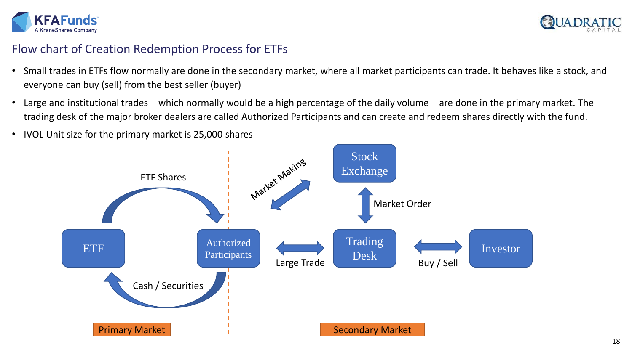



## Flow chart of Creation Redemption Process for ETFs

- Small trades in ETFs flow normally are done in the secondary market, where all market participants can trade. It behaves like a stock, and everyone can buy (sell) from the best seller (buyer)
- Large and institutional trades which normally would be a high percentage of the daily volume are done in the primary market. The trading desk of the major broker dealers are called Authorized Participants and can create and redeem shares directly with the fund.
- IVOL Unit size for the primary market is 25,000 shares

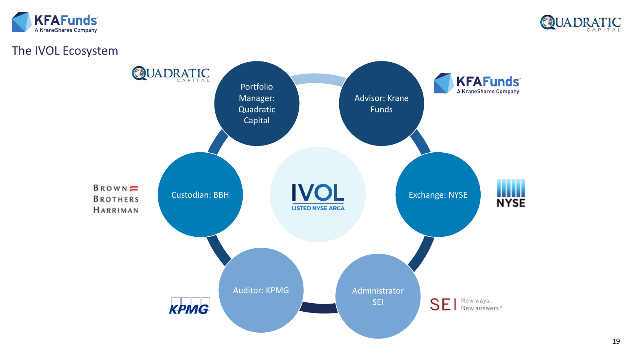



## The IVOL Ecosystem

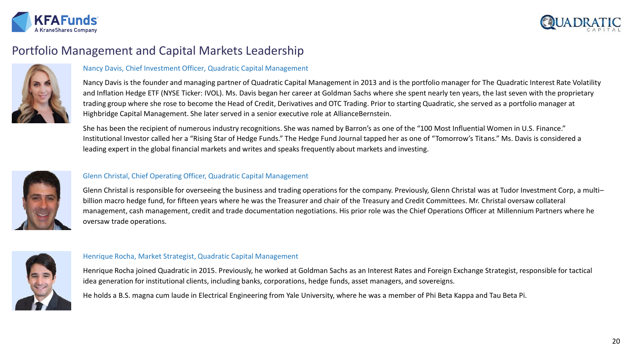



# Portfolio Management and Capital Markets Leadership



### Nancy Davis, Chief Investment Officer, Quadratic Capital Management

Nancy Davis is the founder and managing partner of Quadratic Capital Management in 2013 and is the portfolio manager for The Quadratic Interest Rate Volatility and Inflation Hedge ETF (NYSE Ticker: IVOL). Ms. Davis began her career at Goldman Sachs where she spent nearly ten years, the last seven with the proprietary trading group where she rose to become the Head of Credit, Derivatives and OTC Trading. Prior to starting Quadratic, she served as a portfolio manager at Highbridge Capital Management. She later served in a senior executive role at AllianceBernstein.

She has been the recipient of numerous industry recognitions. She was named by Barron's as one of the "100 Most Influential Women in U.S. Finance." Institutional Investor called her a "Rising Star of Hedge Funds." The Hedge Fund Journal tapped her as one of "Tomorrow's Titans." Ms. Davis is considered a leading expert in the global financial markets and writes and speaks frequently about markets and investing.



#### Glenn Christal, Chief Operating Officer, Quadratic Capital Management

Glenn Christal is responsible for overseeing the business and trading operations for the company. Previously, Glenn Christal was at Tudor Investment Corp, a multi– billion macro hedge fund, for fifteen years where he was the Treasurer and chair of the Treasury and Credit Committees. Mr. Christal oversaw collateral management, cash management, credit and trade documentation negotiations. His prior role was the Chief Operations Officer at Millennium Partners where he oversaw trade operations.



#### Henrique Rocha, Market Strategist, Quadratic Capital Management

Henrique Rocha joined Quadratic in 2015. Previously, he worked at Goldman Sachs as an Interest Rates and Foreign Exchange Strategist, responsible for tactical idea generation for institutional clients, including banks, corporations, hedge funds, asset managers, and sovereigns.

He holds a B.S. magna cum laude in Electrical Engineering from Yale University, where he was a member of Phi Beta Kappa and Tau Beta Pi.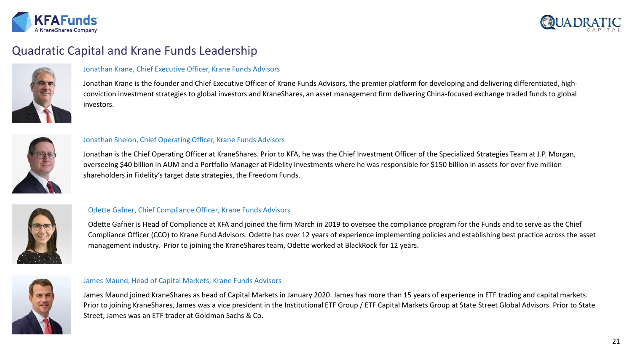



# Quadratic Capital and Krane Funds Leadership



### Jonathan Krane, Chief Executive Officer, Krane Funds Advisors

Jonathan Krane is the founder and Chief Executive Officer of Krane Funds Advisors, the premier platform for developing and delivering differentiated, highconviction investment strategies to global investors and KraneShares, an asset management firm delivering China-focused exchange traded funds to global investors.



#### Jonathan Shelon, Chief Operating Officer, Krane Funds Advisors

Jonathan is the Chief Operating Officer at KraneShares. Prior to KFA, he was the Chief Investment Officer of the Specialized Strategies Team at J.P. Morgan, overseeing \$40 billion in AUM and a Portfolio Manager at Fidelity Investments where he was responsible for \$150 billion in assets for over five million shareholders in Fidelity's target date strategies, the Freedom Funds.



### Odette Gafner, Chief Compliance Officer, Krane Funds Advisors

Odette Gafner is Head of Compliance at KFA and joined the firm March in 2019 to oversee the compliance program for the Funds and to serve as the Chief Compliance Officer (CCO) to Krane Fund Advisors. Odette has over 12 years of experience implementing policies and establishing best practice across the asset management industry. Prior to joining the KraneShares team, Odette worked at BlackRock for 12 years.



#### James Maund, Head of Capital Markets, Krane Funds Advisors

James Maund joined KraneShares as head of Capital Markets in January 2020. James has more than 15 years of experience in ETF trading and capital markets. Prior to joining KraneShares, James was a vice president in the Institutional ETF Group / ETF Capital Markets Group at State Street Global Advisors. Prior to State Street, James was an ETF trader at Goldman Sachs & Co.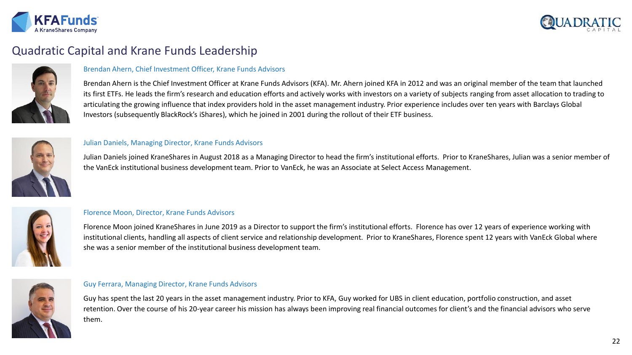



# Quadratic Capital and Krane Funds Leadership



### Brendan Ahern, Chief Investment Officer, Krane Funds Advisors

Brendan Ahern is the Chief Investment Officer at Krane Funds Advisors (KFA). Mr. Ahern joined KFA in 2012 and was an original member of the team that launched its first ETFs. He leads the firm's research and education efforts and actively works with investors on a variety of subjects ranging from asset allocation to trading to articulating the growing influence that index providers hold in the asset management industry. Prior experience includes over ten years with Barclays Global Investors (subsequently BlackRock's iShares), which he joined in 2001 during the rollout of their ETF business.



#### Julian Daniels, Managing Director, Krane Funds Advisors

Julian Daniels joined KraneShares in August 2018 as a Managing Director to head the firm's institutional efforts. Prior to KraneShares, Julian was a senior member of the VanEck institutional business development team. Prior to VanEck, he was an Associate at Select Access Management.



### Florence Moon, Director, Krane Funds Advisors

Florence Moon joined KraneShares in June 2019 as a Director to support the firm's institutional efforts. Florence has over 12 years of experience working with institutional clients, handling all aspects of client service and relationship development. Prior to KraneShares, Florence spent 12 years with VanEck Global where she was a senior member of the institutional business development team.



#### Guy Ferrara, Managing Director, Krane Funds Advisors

Guy has spent the last 20 years in the asset management industry. Prior to KFA, Guy worked for UBS in client education, portfolio construction, and asset retention. Over the course of his 20-year career his mission has always been improving real financial outcomes for client's and the financial advisors who serve them.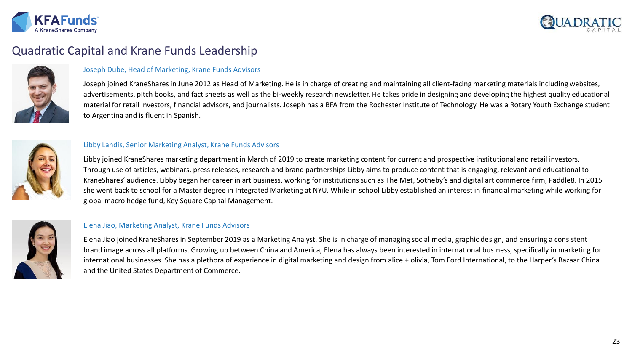



# Quadratic Capital and Krane Funds Leadership



### Joseph Dube, Head of Marketing, Krane Funds Advisors

Joseph joined KraneShares in June 2012 as Head of Marketing. He is in charge of creating and maintaining all client-facing marketing materials including websites, advertisements, pitch books, and fact sheets as well as the bi-weekly research newsletter. He takes pride in designing and developing the highest quality educational material for retail investors, financial advisors, and journalists. Joseph has a BFA from the Rochester Institute of Technology. He was a Rotary Youth Exchange student to Argentina and is fluent in Spanish.



#### Libby Landis, Senior Marketing Analyst, Krane Funds Advisors

Libby joined KraneShares marketing department in March of 2019 to create marketing content for current and prospective institutional and retail investors. Through use of articles, webinars, press releases, research and brand partnerships Libby aims to produce content that is engaging, relevant and educational to KraneShares' audience. Libby began her career in art business, working for institutions such as The Met, Sotheby's and digital art commerce firm, Paddle8. In 2015 she went back to school for a Master degree in Integrated Marketing at NYU. While in school Libby established an interest in financial marketing while working for global macro hedge fund, Key Square Capital Management.



### Elena Jiao, Marketing Analyst, Krane Funds Advisors

Elena Jiao joined KraneShares in September 2019 as a Marketing Analyst. She is in charge of managing social media, graphic design, and ensuring a consistent brand image across all platforms. Growing up between China and America, Elena has always been interested in international business, specifically in marketing for international businesses. She has a plethora of experience in digital marketing and design from alice + olivia, Tom Ford International, to the Harper's Bazaar China and the United States Department of Commerce.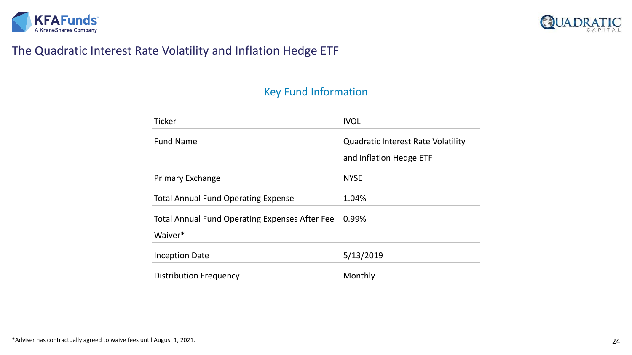



# The Quadratic Interest Rate Volatility and Inflation Hedge ETF

# Key Fund Information

| <b>Ticker</b>                                                    | <b>IVOL</b>                                                          |
|------------------------------------------------------------------|----------------------------------------------------------------------|
| <b>Fund Name</b>                                                 | <b>Quadratic Interest Rate Volatility</b><br>and Inflation Hedge ETF |
| <b>Primary Exchange</b>                                          | <b>NYSE</b>                                                          |
| <b>Total Annual Fund Operating Expense</b>                       | 1.04%                                                                |
| <b>Total Annual Fund Operating Expenses After Fee</b><br>Waiver* | 0.99%                                                                |
| <b>Inception Date</b>                                            | 5/13/2019                                                            |
| <b>Distribution Frequency</b>                                    | Monthly                                                              |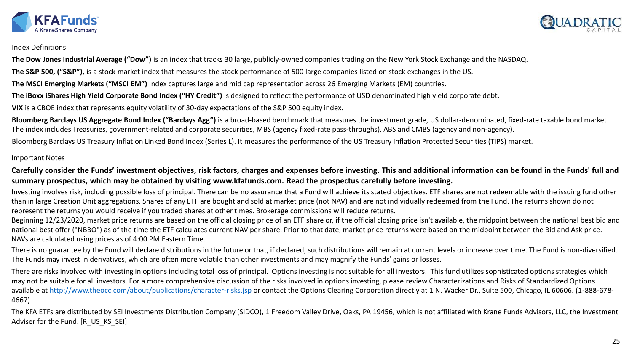



#### Index Definitions

**The Dow Jones Industrial Average ("Dow")** is an index that tracks 30 large, publicly-owned companies trading on the New York Stock Exchange and the NASDAQ.

**The S&P 500, ("S&P"),** is a stock market index that measures the stock performance of 500 large companies listed on stock exchanges in the US.

**The MSCI Emerging Markets ("MSCI EM")** Index captures large and mid cap representation across 26 Emerging Markets (EM) countries.

**The iBoxx iShares High Yield Corporate Bond Index ("HY Credit")** is designed to reflect the performance of USD denominated high yield corporate debt.

**VIX** is a CBOE index that represents equity volatility of 30-day expectations of the S&P 500 equity index.

**Bloomberg Barclays US Aggregate Bond Index ("Barclays Agg")** is a broad-based benchmark that measures the investment grade, US dollar-denominated, fixed-rate taxable bond market. The index includes Treasuries, government-related and corporate securities, MBS (agency fixed-rate pass-throughs), ABS and CMBS (agency and non-agency).

Bloomberg Barclays US Treasury Inflation Linked Bond Index (Series L). It measures the performance of the US Treasury Inflation Protected Securities (TIPS) market.

### Important Notes

**Carefully consider the Funds' investment objectives, risk factors, charges and expenses before investing. This and additional information can be found in the Funds' full and summary prospectus, which may be obtained by visiting www.kfafunds.com. Read the prospectus carefully before investing.**

Investing involves risk, including possible loss of principal. There can be no assurance that a Fund will achieve its stated objectives. ETF shares are not redeemable with the issuing fund other than in large Creation Unit aggregations. Shares of any ETF are bought and sold at market price (not NAV) and are not individually redeemed from the Fund. The returns shown do not represent the returns you would receive if you traded shares at other times. Brokerage commissions will reduce returns.

Beginning 12/23/2020, market price returns are based on the official closing price of an ETF share or, if the official closing price isn't available, the midpoint between the national best bid and national best offer ("NBBO") as of the time the ETF calculates current NAV per share. Prior to that date, market price returns were based on the midpoint between the Bid and Ask price. NAVs are calculated using prices as of 4:00 PM Eastern Time.

There is no guarantee by the Fund will declare distributions in the future or that, if declared, such distributions will remain at current levels or increase over time. The Fund is non-diversified. The Funds may invest in derivatives, which are often more volatile than other investments and may magnify the Funds' gains or losses.

There are risks involved with investing in options including total loss of principal. Options investing is not suitable for all investors. This fund utilizes sophisticated options strategies which may not be suitable for all investors. For a more comprehensive discussion of the risks involved in options investing, please review Characterizations and Risks of Standardized Options available at<http://www.theocc.com/about/publications/character-risks.jsp> or contact the Options Clearing Corporation directly at 1 N. Wacker Dr., Suite 500, Chicago, IL 60606. (1-888-678-4667)

The KFA ETFs are distributed by SEI Investments Distribution Company (SIDCO), 1 Freedom Valley Drive, Oaks, PA 19456, which is not affiliated with Krane Funds Advisors, LLC, the Investment Adviser for the Fund. [R\_US\_KS\_SEI]